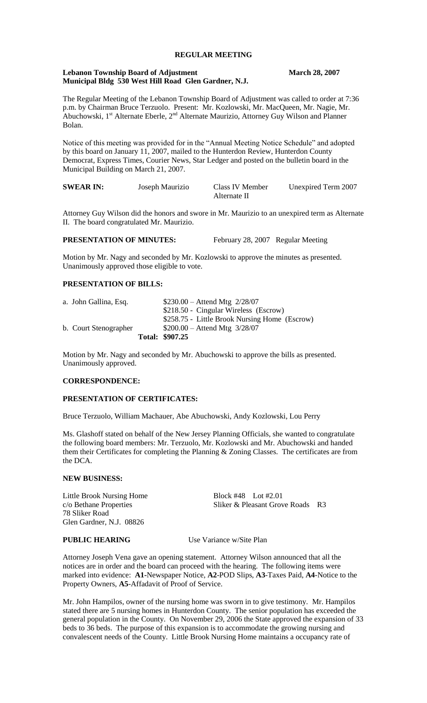# **REGULAR MEETING**

## **Lebanon Township Board of Adjustment March 28, 2007 Municipal Bldg 530 West Hill Road Glen Gardner, N.J.**

The Regular Meeting of the Lebanon Township Board of Adjustment was called to order at 7:36 p.m. by Chairman Bruce Terzuolo. Present: Mr. Kozlowski, Mr. MacQueen, Mr. Nagie, Mr. Abuchowski,  $1^{st}$  Alternate Eberle,  $2^{nd}$  Alternate Maurizio, Attorney Guy Wilson and Planner Bolan.

Notice of this meeting was provided for in the "Annual Meeting Notice Schedule" and adopted by this board on January 11, 2007, mailed to the Hunterdon Review, Hunterdon County Democrat, Express Times, Courier News, Star Ledger and posted on the bulletin board in the Municipal Building on March 21, 2007.

| <b>SWEAR IN:</b> | Joseph Maurizio | Class IV Member | Unexpired Term 2007 |
|------------------|-----------------|-----------------|---------------------|
|                  |                 | Alternate II    |                     |

Attorney Guy Wilson did the honors and swore in Mr. Maurizio to an unexpired term as Alternate II. The board congratulated Mr. Maurizio.

**PRESENTATION OF MINUTES:** February 28, 2007 Regular Meeting

Motion by Mr. Nagy and seconded by Mr. Kozlowski to approve the minutes as presented. Unanimously approved those eligible to vote.

# **PRESENTATION OF BILLS:**

|                       | Total: \$907.25                               |
|-----------------------|-----------------------------------------------|
| b. Court Stenographer | $$200.00 -$ Attend Mtg $3/28/07$              |
|                       | \$258.75 - Little Brook Nursing Home (Escrow) |
|                       | \$218.50 - Cingular Wireless (Escrow)         |
| a. John Gallina, Esq. | $$230.00 -$ Attend Mtg $2/28/07$              |

Motion by Mr. Nagy and seconded by Mr. Abuchowski to approve the bills as presented. Unanimously approved.

### **CORRESPONDENCE:**

## **PRESENTATION OF CERTIFICATES:**

Bruce Terzuolo, William Machauer, Abe Abuchowski, Andy Kozlowski, Lou Perry

Ms. Glashoff stated on behalf of the New Jersey Planning Officials, she wanted to congratulate the following board members: Mr. Terzuolo, Mr. Kozlowski and Mr. Abuchowski and handed them their Certificates for completing the Planning & Zoning Classes. The certificates are from the DCA.

#### **NEW BUSINESS:**

Little Brook Nursing Home<br>
c/o Bethane Properties<br>
Sliker & Pleasant Grov 78 Sliker Road Glen Gardner, N.J. 08826

Sliker & Pleasant Grove Roads R3

# **PUBLIC HEARING** Use Variance w/Site Plan

Attorney Joseph Vena gave an opening statement. Attorney Wilson announced that all the notices are in order and the board can proceed with the hearing. The following items were marked into evidence: **A1-**Newspaper Notice, **A2**-POD Slips, **A3**-Taxes Paid, **A4**-Notice to the Property Owners, **A5**-Affadavit of Proof of Service.

Mr. John Hampilos, owner of the nursing home was sworn in to give testimony. Mr. Hampilos stated there are 5 nursing homes in Hunterdon County. The senior population has exceeded the general population in the County. On November 29, 2006 the State approved the expansion of 33 beds to 36 beds. The purpose of this expansion is to accommodate the growing nursing and convalescent needs of the County. Little Brook Nursing Home maintains a occupancy rate of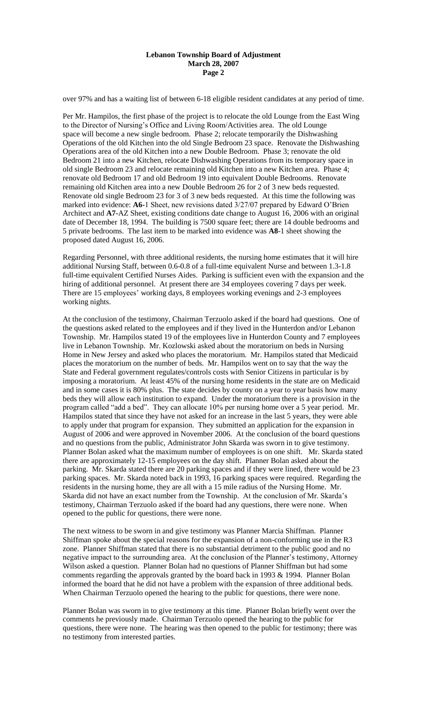# **Lebanon Township Board of Adjustment March 28, 2007 Page 2**

over 97% and has a waiting list of between 6-18 eligible resident candidates at any period of time.

Per Mr. Hampilos, the first phase of the project is to relocate the old Lounge from the East Wing to the Director of Nursing's Office and Living Room/Activities area. The old Lounge space will become a new single bedroom. Phase 2; relocate temporarily the Dishwashing Operations of the old Kitchen into the old Single Bedroom 23 space. Renovate the Dishwashing Operations area of the old Kitchen into a new Double Bedroom. Phase 3; renovate the old Bedroom 21 into a new Kitchen, relocate Dishwashing Operations from its temporary space in old single Bedroom 23 and relocate remaining old Kitchen into a new Kitchen area. Phase 4; renovate old Bedroom 17 and old Bedroom 19 into equivalent Double Bedrooms. Renovate remaining old Kitchen area into a new Double Bedroom 26 for 2 of 3 new beds requested. Renovate old single Bedroom 23 for 3 of 3 new beds requested. At this time the following was marked into evidence: **A6-**1 Sheet, new revisions dated 3/27/07 prepared by Edward O'Brien Architect and **A7-**AZ Sheet, existing conditions date change to August 16, 2006 with an original date of December 18, 1994. The building is 7500 square feet; there are 14 double bedrooms and 5 private bedrooms. The last item to be marked into evidence was **A8**-1 sheet showing the proposed dated August 16, 2006.

Regarding Personnel, with three additional residents, the nursing home estimates that it will hire additional Nursing Staff, between 0.6-0.8 of a full-time equivalent Nurse and between 1.3-1.8 full-time equivalent Certified Nurses Aides. Parking is sufficient even with the expansion and the hiring of additional personnel. At present there are 34 employees covering 7 days per week. There are 15 employees' working days, 8 employees working evenings and 2-3 employees working nights.

At the conclusion of the testimony, Chairman Terzuolo asked if the board had questions. One of the questions asked related to the employees and if they lived in the Hunterdon and/or Lebanon Township. Mr. Hampilos stated 19 of the employees live in Hunterdon County and 7 employees live in Lebanon Township. Mr. Kozlowski asked about the moratorium on beds in Nursing Home in New Jersey and asked who places the moratorium. Mr. Hampilos stated that Medicaid places the moratorium on the number of beds. Mr. Hampilos went on to say that the way the State and Federal government regulates/controls costs with Senior Citizens in particular is by imposing a moratorium. At least 45% of the nursing home residents in the state are on Medicaid and in some cases it is 80% plus. The state decides by county on a year to year basis how many beds they will allow each institution to expand. Under the moratorium there is a provision in the program called "add a bed". They can allocate 10% per nursing home over a 5 year period. Mr. Hampilos stated that since they have not asked for an increase in the last 5 years, they were able to apply under that program for expansion. They submitted an application for the expansion in August of 2006 and were approved in November 2006. At the conclusion of the board questions and no questions from the public, Administrator John Skarda was sworn in to give testimony. Planner Bolan asked what the maximum number of employees is on one shift. Mr. Skarda stated there are approximately 12-15 employees on the day shift. Planner Bolan asked about the parking. Mr. Skarda stated there are 20 parking spaces and if they were lined, there would be 23 parking spaces. Mr. Skarda noted back in 1993, 16 parking spaces were required. Regarding the residents in the nursing home, they are all with a 15 mile radius of the Nursing Home. Mr. Skarda did not have an exact number from the Township. At the conclusion of Mr. Skarda's testimony, Chairman Terzuolo asked if the board had any questions, there were none. When opened to the public for questions, there were none.

The next witness to be sworn in and give testimony was Planner Marcia Shiffman. Planner Shiffman spoke about the special reasons for the expansion of a non-conforming use in the R3 zone. Planner Shiffman stated that there is no substantial detriment to the public good and no negative impact to the surrounding area. At the conclusion of the Planner's testimony, Attorney Wilson asked a question. Planner Bolan had no questions of Planner Shiffman but had some comments regarding the approvals granted by the board back in 1993 & 1994. Planner Bolan informed the board that he did not have a problem with the expansion of three additional beds. When Chairman Terzuolo opened the hearing to the public for questions, there were none.

Planner Bolan was sworn in to give testimony at this time. Planner Bolan briefly went over the comments he previously made. Chairman Terzuolo opened the hearing to the public for questions, there were none. The hearing was then opened to the public for testimony; there was no testimony from interested parties.